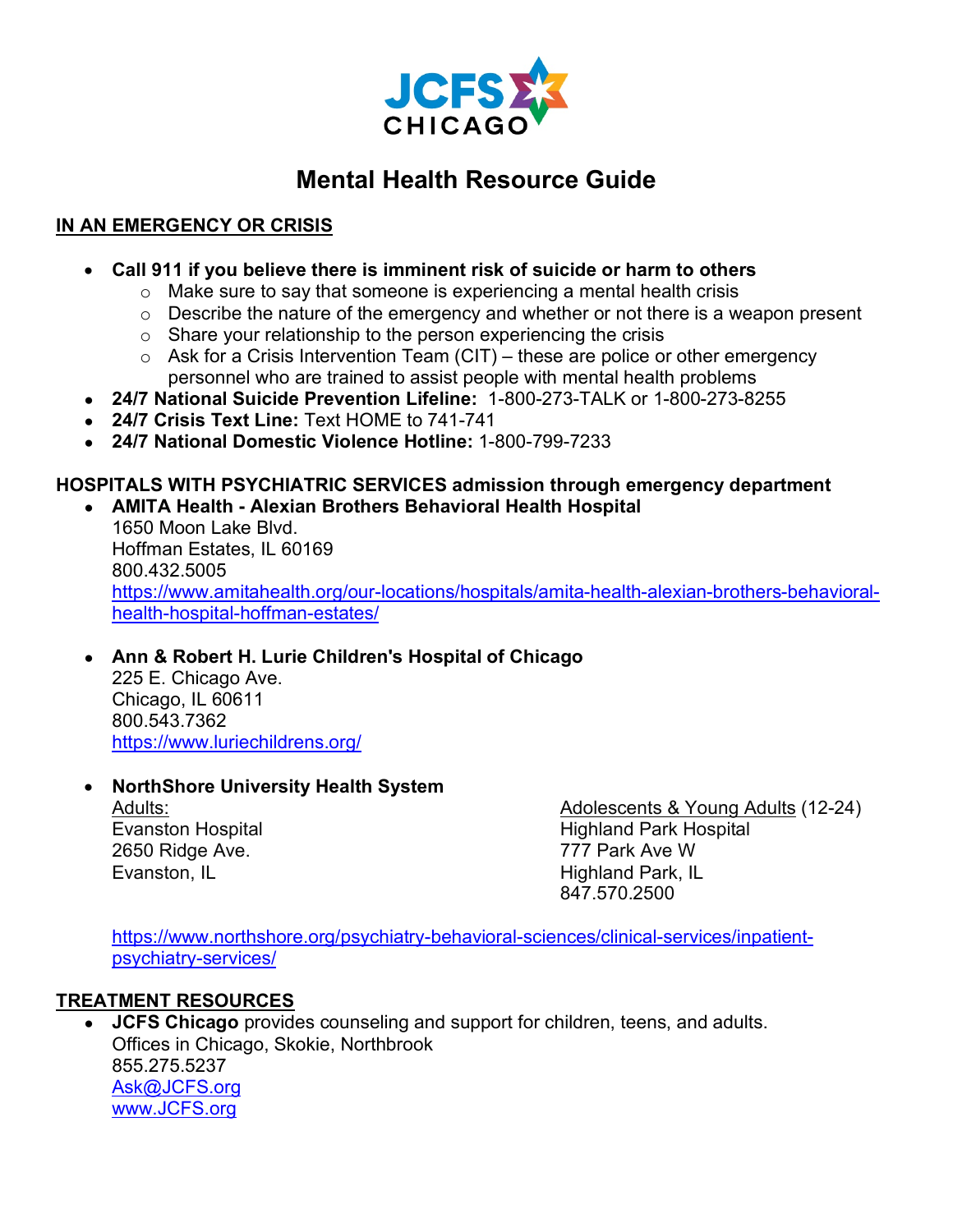

# **Mental Health Resource Guide**

## **IN AN EMERGENCY OR CRISIS**

- **Call 911 if you believe there is imminent risk of suicide or harm to others** 
	- $\circ$  Make sure to say that someone is experiencing a mental health crisis
	- $\circ$  Describe the nature of the emergency and whether or not there is a weapon present
	- $\circ$  Share your relationship to the person experiencing the crisis
	- $\circ$  Ask for a Crisis Intervention Team (CIT) these are police or other emergency personnel who are trained to assist people with mental health problems
- **24/7 National Suicide Prevention Lifeline:** 1-800-273-TALK or 1-800-273-8255
- **24/7 Crisis Text Line:** Text HOME to 741-741
- **24/7 National Domestic Violence Hotline:** 1-800-799-7233

#### **HOSPITALS WITH PSYCHIATRIC SERVICES admission through emergency department** ● **AMITA Health - Alexian Brothers Behavioral Health Hospital**

1650 Moon Lake Blvd. Hoffman Estates, IL 60169 800.432.5005 [https://www.amitahealth.org/our-locations/hospitals/amita-health-alexian-brothers-behavioral](https://www.amitahealth.org/our-locations/hospitals/amita-health-alexian-brothers-behavioral-health-hospital-hoffman-estates/)[health-hospital-hoffman-estates/](https://www.amitahealth.org/our-locations/hospitals/amita-health-alexian-brothers-behavioral-health-hospital-hoffman-estates/)

#### ● **[Ann](https://www.luriechildrens.org/en/locations/ann-robert-h-lurie-children-s-hospital-of-chicago-18/) [&](https://www.luriechildrens.org/en/locations/ann-robert-h-lurie-children-s-hospital-of-chicago-18/) [Robert H. Lurie Children's Hospital of Chicago](https://www.luriechildrens.org/en/locations/ann-robert-h-lurie-children-s-hospital-of-chicago-18/)** 225 E. Chicago Ave.

Chicago, IL 60611 800.543.7362 <https://www.luriechildrens.org/>

### • **NorthShore University Health System**

Adults: Evanston Hospital 2650 Ridge Ave. Evanston, IL

Adolescents & Young Adults (12-24) Highland Park Hospital 777 Park Ave W Highland Park, IL 847.570.2500

[https://www.northshore.org/psychiatry-behavioral-sciences/clinical-services/inpatient](https://www.northshore.org/psychiatry-behavioral-sciences/clinical-services/inpatient-psychiatry-services/)[psychiatry-services/](https://www.northshore.org/psychiatry-behavioral-sciences/clinical-services/inpatient-psychiatry-services/)

### **TREATMENT RESOURCES**

**JCFS Chicago** provides counseling and support for children, teens, and adults. Offices in Chicago, Skokie, Northbrook 855.275.5237 [Ask@JCFS.org](mailto:ask@jcfs.org) [www.JCFS.org](http://www.jcfs.org/)